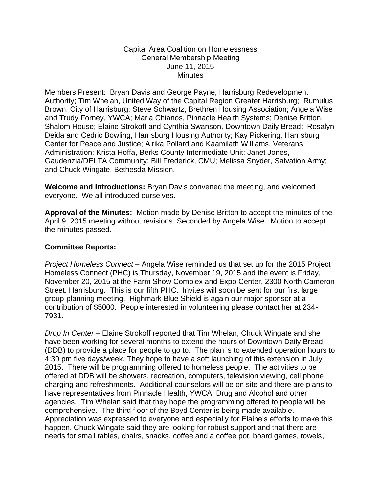## Capital Area Coalition on Homelessness General Membership Meeting June 11, 2015 **Minutes**

Members Present: Bryan Davis and George Payne, Harrisburg Redevelopment Authority; Tim Whelan, United Way of the Capital Region Greater Harrisburg; Rumulus Brown, City of Harrisburg; Steve Schwartz, Brethren Housing Association; Angela Wise and Trudy Forney, YWCA; Maria Chianos, Pinnacle Health Systems; Denise Britton, Shalom House; Elaine Strokoff and Cynthia Swanson, Downtown Daily Bread; Rosalyn Deida and Cedric Bowling, Harrisburg Housing Authority; Kay Pickering, Harrisburg Center for Peace and Justice; Airika Pollard and Kaamilath Williams, Veterans Administration; Krista Hoffa, Berks County Intermediate Unit; Janet Jones, Gaudenzia/DELTA Community; Bill Frederick, CMU; Melissa Snyder, Salvation Army; and Chuck Wingate, Bethesda Mission.

**Welcome and Introductions:** Bryan Davis convened the meeting, and welcomed everyone. We all introduced ourselves.

**Approval of the Minutes:** Motion made by Denise Britton to accept the minutes of the April 9, 2015 meeting without revisions. Seconded by Angela Wise. Motion to accept the minutes passed.

## **Committee Reports:**

*Project Homeless Connect* – Angela Wise reminded us that set up for the 2015 Project Homeless Connect (PHC) is Thursday, November 19, 2015 and the event is Friday, November 20, 2015 at the Farm Show Complex and Expo Center, 2300 North Cameron Street, Harrisburg. This is our fifth PHC. Invites will soon be sent for our first large group-planning meeting. Highmark Blue Shield is again our major sponsor at a contribution of \$5000. People interested in volunteering please contact her at 234- 7931.

*Drop In Center* – Elaine Strokoff reported that Tim Whelan, Chuck Wingate and she have been working for several months to extend the hours of Downtown Daily Bread (DDB) to provide a place for people to go to. The plan is to extended operation hours to 4:30 pm five days/week. They hope to have a soft launching of this extension in July 2015. There will be programming offered to homeless people. The activities to be offered at DDB will be showers, recreation, computers, television viewing, cell phone charging and refreshments. Additional counselors will be on site and there are plans to have representatives from Pinnacle Health, YWCA, Drug and Alcohol and other agencies. Tim Whelan said that they hope the programming offered to people will be comprehensive. The third floor of the Boyd Center is being made available. Appreciation was expressed to everyone and especially for Elaine's efforts to make this happen. Chuck Wingate said they are looking for robust support and that there are needs for small tables, chairs, snacks, coffee and a coffee pot, board games, towels,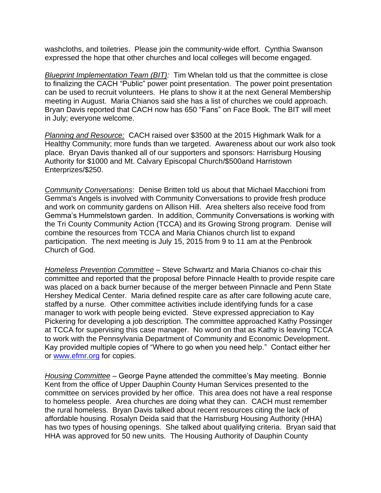washcloths, and toiletries. Please join the community-wide effort. Cynthia Swanson expressed the hope that other churches and local colleges will become engaged.

*Blueprint Implementation Team (BIT):* Tim Whelan told us that the committee is close to finalizing the CACH "Public" power point presentation. The power point presentation can be used to recruit volunteers. He plans to show it at the next General Membership meeting in August. Maria Chianos said she has a list of churches we could approach. Bryan Davis reported that CACH now has 650 "Fans" on Face Book. The BIT will meet in July; everyone welcome.

*Planning and Resource:* CACH raised over \$3500 at the 2015 Highmark Walk for a Healthy Community; more funds than we targeted. Awareness about our work also took place. Bryan Davis thanked all of our supporters and sponsors: Harrisburg Housing Authority for \$1000 and Mt. Calvary Episcopal Church/\$500and Harristown Enterprizes/\$250.

*Community Conversations*: Denise Britten told us about that Michael Macchioni from Gemma's Angels is involved with Community Conversations to provide fresh produce and work on community gardens on Allison Hill. Area shelters also receive food from Gemma's Hummelstown garden. In addition, Community Conversations is working with the Tri County Community Action (TCCA) and its Growing Strong program. Denise will combine the resources from TCCA and Maria Chianos church list to expand participation. The next meeting is July 15, 2015 from 9 to 11 am at the Penbrook Church of God.

*Homeless Prevention Committee* – Steve Schwartz and Maria Chianos co-chair this committee and reported that the proposal before Pinnacle Health to provide respite care was placed on a back burner because of the merger between Pinnacle and Penn State Hershey Medical Center. Maria defined respite care as after care following acute care, staffed by a nurse. Other committee activities include identifying funds for a case manager to work with people being evicted. Steve expressed appreciation to Kay Pickering for developing a job description. The committee approached Kathy Possinger at TCCA for supervising this case manager. No word on that as Kathy is leaving TCCA to work with the Pennsylvania Department of Community and Economic Development. Kay provided multiple copies of "Where to go when you need help." Contact either her or [www.efmr.org](http://www.efmr.org/) for copies.

*Housing Committee* – George Payne attended the committee's May meeting. Bonnie Kent from the office of Upper Dauphin County Human Services presented to the committee on services provided by her office. This area does not have a real response to homeless people. Area churches are doing what they can. CACH must remember the rural homeless. Bryan Davis talked about recent resources citing the lack of affordable housing. Rosalyn Deida said that the Harrisburg Housing Authority (HHA) has two types of housing openings. She talked about qualifying criteria. Bryan said that HHA was approved for 50 new units. The Housing Authority of Dauphin County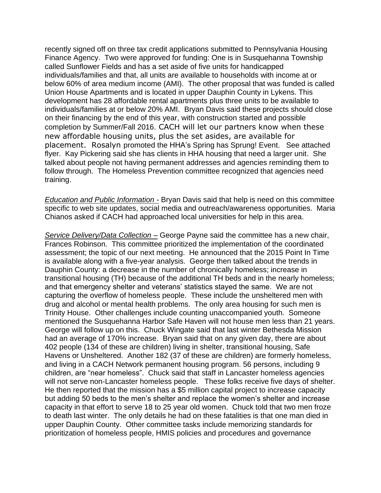recently signed off on three tax credit applications submitted to Pennsylvania Housing Finance Agency. Two were approved for funding: One is in Susquehanna Township called Sunflower Fields and has a set aside of five units for handicapped individuals/families and that, all units are available to households with income at or below 60% of area medium income (AMI). The other proposal that was funded is called Union House Apartments and is located in upper Dauphin County in Lykens. This development has 28 affordable rental apartments plus three units to be available to individuals/families at or below 20% AMI. Bryan Davis said these projects should close on their financing by the end of this year, with construction started and possible completion by Summer/Fall 2016. CACH will let our partners know when these new affordable housing units, plus the set asides, are available for placement. Rosalyn promoted the HHA's Spring has Sprung! Event. See attached flyer. Kay Pickering said she has clients in HHA housing that need a larger unit. She talked about people not having permanent addresses and agencies reminding them to follow through. The Homeless Prevention committee recognized that agencies need training.

*Education and Public Information -* Bryan Davis said that help is need on this committee specific to web site updates, social media and outreach/awareness opportunities. Maria Chianos asked if CACH had approached local universities for help in this area.

*Service Delivery/Data Collection –* George Payne said the committee has a new chair, Frances Robinson. This committee prioritized the implementation of the coordinated assessment; the topic of our next meeting. He announced that the 2015 Point In Time is available along with a five-year analysis. George then talked about the trends in Dauphin County: a decrease in the number of chronically homeless; increase in transitional housing (TH) because of the additional TH beds and in the nearly homeless; and that emergency shelter and veterans' statistics stayed the same. We are not capturing the overflow of homeless people. These include the unsheltered men with drug and alcohol or mental health problems. The only area housing for such men is Trinity House. Other challenges include counting unaccompanied youth. Someone mentioned the Susquehanna Harbor Safe Haven will not house men less than 21 years. George will follow up on this. Chuck Wingate said that last winter Bethesda Mission had an average of 170% increase. Bryan said that on any given day, there are about 402 people (134 of these are children) living in shelter, transitional housing, Safe Havens or Unsheltered. Another 182 (37 of these are children) are formerly homeless, and living in a CACH Network permanent housing program. 56 persons, including 9 children, are "near homeless". Chuck said that staff in Lancaster homeless agencies will not serve non-Lancaster homeless people. These folks receive five days of shelter. He then reported that the mission has a \$5 million capital project to increase capacity but adding 50 beds to the men's shelter and replace the women's shelter and increase capacity in that effort to serve 18 to 25 year old women. Chuck told that two men froze to death last winter. The only details he had on these fatalities is that one man died in upper Dauphin County. Other committee tasks include memorizing standards for prioritization of homeless people, HMIS policies and procedures and governance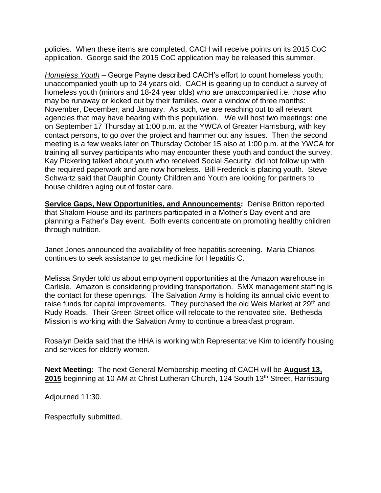policies. When these items are completed, CACH will receive points on its 2015 CoC application. George said the 2015 CoC application may be released this summer.

*Homeless Youth* – George Payne described CACH's effort to count homeless youth; unaccompanied youth up to 24 years old. CACH is gearing up to conduct a survey of homeless youth (minors and 18-24 year olds) who are unaccompanied i.e. those who may be runaway or kicked out by their families, over a window of three months: November, December, and January. As such, we are reaching out to all relevant agencies that may have bearing with this population. We will host two meetings: one on September 17 Thursday at 1:00 p.m. at the YWCA of Greater Harrisburg, with key contact persons, to go over the project and hammer out any issues. Then the second meeting is a few weeks later on Thursday October 15 also at 1:00 p.m. at the YWCA for training all survey participants who may encounter these youth and conduct the survey. Kay Pickering talked about youth who received Social Security, did not follow up with the required paperwork and are now homeless. Bill Frederick is placing youth. Steve Schwartz said that Dauphin County Children and Youth are looking for partners to house children aging out of foster care.

**Service Gaps, New Opportunities, and Announcements:** Denise Britton reported that Shalom House and its partners participated in a Mother's Day event and are planning a Father's Day event. Both events concentrate on promoting healthy children through nutrition.

Janet Jones announced the availability of free hepatitis screening. Maria Chianos continues to seek assistance to get medicine for Hepatitis C.

Melissa Snyder told us about employment opportunities at the Amazon warehouse in Carlisle. Amazon is considering providing transportation. SMX management staffing is the contact for these openings. The Salvation Army is holding its annual civic event to raise funds for capital improvements. They purchased the old Weis Market at 29<sup>th</sup> and Rudy Roads. Their Green Street office will relocate to the renovated site. Bethesda Mission is working with the Salvation Army to continue a breakfast program.

Rosalyn Deida said that the HHA is working with Representative Kim to identify housing and services for elderly women.

**Next Meeting:** The next General Membership meeting of CACH will be **August 13,**  2015 beginning at 10 AM at Christ Lutheran Church, 124 South 13<sup>th</sup> Street, Harrisburg

Adjourned 11:30.

Respectfully submitted,